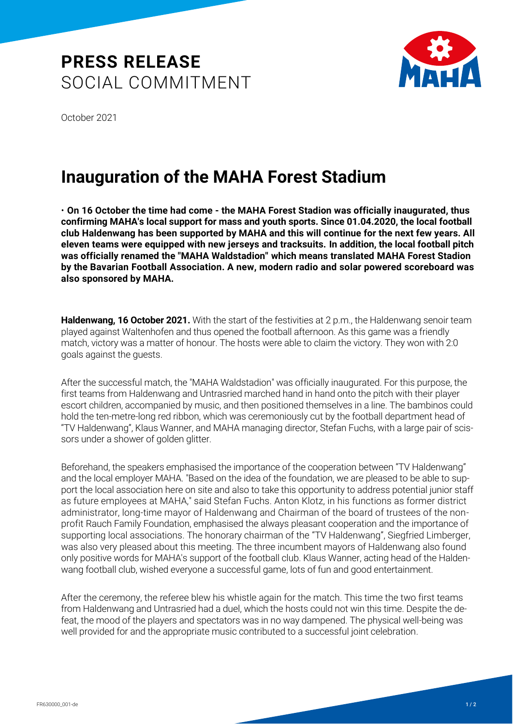## **PRESS RELEASE** SOCIAL COMMITMENT



October 2021

## **Inauguration of the MAHA Forest Stadium**

• **On 16 October the time had come - the MAHA Forest Stadion was officially inaugurated, thus confirming MAHA's local support for mass and youth sports. Since 01.04.2020, the local football club Haldenwang has been supported by MAHA and this will continue for the next few years. All eleven teams were equipped with new jerseys and tracksuits. In addition, the local football pitch was officially renamed the "MAHA Waldstadion" which means translated MAHA Forest Stadion by the Bavarian Football Association. A new, modern radio and solar powered scoreboard was also sponsored by MAHA.**

**Haldenwang, 16 October 2021.** With the start of the festivities at 2 p.m., the Haldenwang senoir team played against Waltenhofen and thus opened the football afternoon. As this game was a friendly match, victory was a matter of honour. The hosts were able to claim the victory. They won with 2:0 goals against the guests.

After the successful match, the "MAHA Waldstadion" was officially inaugurated. For this purpose, the first teams from Haldenwang and Untrasried marched hand in hand onto the pitch with their player escort children, accompanied by music, and then positioned themselves in a line. The bambinos could hold the ten-metre-long red ribbon, which was ceremoniously cut by the football department head of "TV Haldenwang", Klaus Wanner, and MAHA managing director, Stefan Fuchs, with a large pair of scissors under a shower of golden glitter.

Beforehand, the speakers emphasised the importance of the cooperation between "TV Haldenwang" and the local employer MAHA. "Based on the idea of the foundation, we are pleased to be able to support the local association here on site and also to take this opportunity to address potential junior staff as future employees at MAHA," said Stefan Fuchs. Anton Klotz, in his functions as former district administrator, long-time mayor of Haldenwang and Chairman of the board of trustees of the nonprofit Rauch Family Foundation, emphasised the always pleasant cooperation and the importance of supporting local associations. The honorary chairman of the "TV Haldenwang", Siegfried Limberger, was also very pleased about this meeting. The three incumbent mayors of Haldenwang also found only positive words for MAHA's support of the football club. Klaus Wanner, acting head of the Haldenwang football club, wished everyone a successful game, lots of fun and good entertainment.

After the ceremony, the referee blew his whistle again for the match. This time the two first teams from Haldenwang and Untrasried had a duel, which the hosts could not win this time. Despite the defeat, the mood of the players and spectators was in no way dampened. The physical well-being was well provided for and the appropriate music contributed to a successful joint celebration.